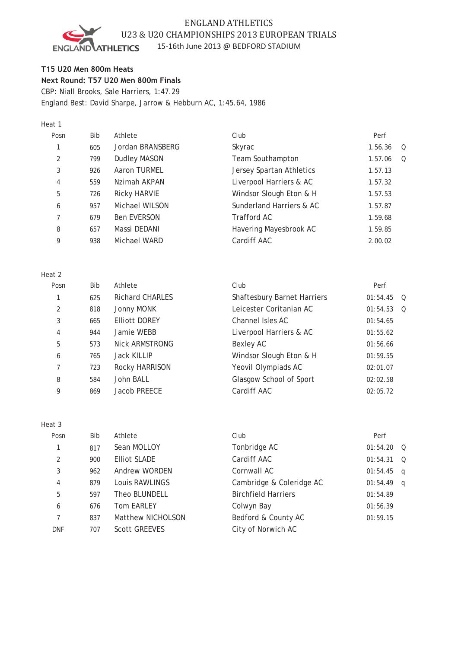# ENGLAND ATHLETICS U23 & U20 CHAMPIONSHIPS 2013 EUROPEAN TRIALS 15-16th June 2013 @ BEDFORD STADIUM

**ATHLETICS ENGL** JD

**T15 U20 Men 800m Heats Next Round: T57 U20 Men 800m Finals** CBP: Niall Brooks, Sale Harriers, 1:47.29 England Best: David Sharpe, Jarrow & Hebburn AC, 1:45.64, 1986

#### Heat 1

| Posn          | Bib | Athlete             | Club                     | Perf                |
|---------------|-----|---------------------|--------------------------|---------------------|
|               | 605 | Jordan BRANSBERG    | Skyrac                   | 1.56.36<br>$\Omega$ |
| $\mathcal{L}$ | 799 | <b>Dudley MASON</b> | Team Southampton         | 1.57.06<br>$\Omega$ |
| 3             | 926 | Aaron TURMEL        | Jersey Spartan Athletics | 1.57.13             |
| 4             | 559 | Nzimah AKPAN        | Liverpool Harriers & AC  | 1.57.32             |
| 5             | 726 | <b>Ricky HARVIE</b> | Windsor Slough Eton & H  | 1.57.53             |
| 6             | 957 | Michael WILSON      | Sunderland Harriers & AC | 1.57.87             |
|               | 679 | <b>Ben EVERSON</b>  | Trafford AC              | 1.59.68             |
| 8             | 657 | Massi DEDANI        | Havering Mayesbrook AC   | 1.59.85             |
| 9             | 938 | Michael WARD        | Cardiff AAC              | 2.00.02             |
|               |     |                     |                          |                     |

#### Heat 2

| Posn | Bib | Athlete                | Club                               | Perf                 |
|------|-----|------------------------|------------------------------------|----------------------|
|      | 625 | <b>Richard CHARLES</b> | <b>Shaftesbury Barnet Harriers</b> | 01:54.45<br>$\Omega$ |
| 2    | 818 | Jonny MONK             | Leicester Coritanian AC            | 01:54.53<br>$\Omega$ |
| 3    | 665 | <b>Elliott DOREY</b>   | Channel Isles AC                   | 01:54.65             |
| 4    | 944 | Jamie WEBB             | Liverpool Harriers & AC            | 01:55.62             |
| 5    | 573 | Nick ARMSTRONG         | Bexley AC                          | 01:56.66             |
| 6    | 765 | <b>Jack KILLIP</b>     | Windsor Slough Eton & H            | 01:59.55             |
| 7    | 723 | Rocky HARRISON         | Yeovil Olympiads AC                | 02:01.07             |
| 8    | 584 | John BALL              | Glasgow School of Sport            | 02:02.58             |
| 9    | 869 | Jacob PREECE           | Cardiff AAC                        | 02:05.72             |
|      |     |                        |                                    |                      |

#### Heat 3

| Posn       | <b>Bib</b> | Athlete              | Club                       | Perf     |                |
|------------|------------|----------------------|----------------------------|----------|----------------|
|            | 817        | Sean MOLLOY          | Tonbridge AC               | 01:54.20 | $\overline{O}$ |
| 2          | 900        | <b>Elliot SLADE</b>  | Cardiff AAC                | 01:54.31 | $\circ$        |
| 3          | 962        | Andrew WORDEN        | Cornwall AC                | 01:54.45 | q              |
| 4          | 879        | Louis RAWLINGS       | Cambridge & Coleridge AC   | 01:54.49 | $\alpha$       |
| 5          | 597        | Theo BLUNDELL        | <b>Birchfield Harriers</b> | 01:54.89 |                |
| 6          | 676        | <b>Tom EARLEY</b>    | Colwyn Bay                 | 01:56.39 |                |
|            | 837        | Matthew NICHOLSON    | Bedford & County AC        | 01:59.15 |                |
| <b>DNF</b> | 707        | <b>Scott GREEVES</b> | City of Norwich AC         |          |                |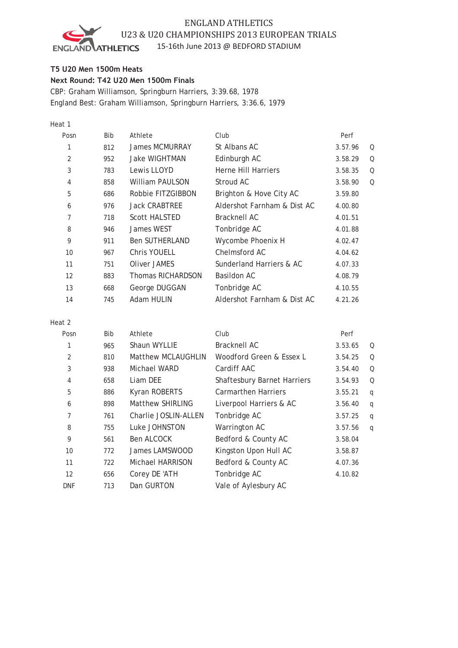# ENGLAND ATHLETICS U23 & U20 CHAMPIONSHIPS 2013 EUROPEAN TRIALS



## 15-16th June 2013 @ BEDFORD STADIUM

## **T5 U20 Men 1500m Heats**

**Next Round: T42 U20 Men 1500m Finals**

CBP: Graham Williamson, Springburn Harriers, 3:39.68, 1978 England Best: Graham Williamson, Springburn Harriers, 3:36.6, 1979

## Heat 1

| Posn | <b>Bib</b> | Athlete               | Club                        | Perf    |   |
|------|------------|-----------------------|-----------------------------|---------|---|
| 1    | 812        | James MCMURRAY        | St Albans AC                | 3.57.96 | Q |
| 2    | 952        | <b>Jake WIGHTMAN</b>  | Edinburgh AC                | 3.58.29 | Q |
| 3    | 783        | Lewis LLOYD           | Herne Hill Harriers         | 3.58.35 | Q |
| 4    | 858        | William PAULSON       | Stroud AC                   | 3.58.90 | Q |
| 5    | 686        | Robbie FITZGIBBON     | Brighton & Hove City AC     | 3.59.80 |   |
| 6    | 976        | <b>Jack CRABTREE</b>  | Aldershot Farnham & Dist AC | 4.00.80 |   |
| 7    | 718        | Scott HALSTED         | Bracknell AC                | 4.01.51 |   |
| 8    | 946        | James WEST            | Tonbridge AC                | 4.01.88 |   |
| 9    | 911        | <b>Ben SUTHERLAND</b> | Wycombe Phoenix H           | 4.02.47 |   |
| 10   | 967        | Chris YOUELL          | Chelmsford AC               | 4.04.62 |   |
| 11   | 751        | Oliver JAMES          | Sunderland Harriers & AC    | 4.07.33 |   |
| 12   | 883        | Thomas RICHARDSON     | Basildon AC                 | 4.08.79 |   |
| 13   | 668        | George DUGGAN         | Tonbridge AC                | 4.10.55 |   |
| 14   | 745        | Adam HULIN            | Aldershot Farnham & Dist AC | 4.21.26 |   |

#### Heat 2

| Posn       | <b>Bib</b> | Athlete                 | Club                               | Perf    |   |
|------------|------------|-------------------------|------------------------------------|---------|---|
| 1          | 965        | Shaun WYLLIE            | Bracknell AC                       | 3.53.65 | Q |
| 2          | 810        | Matthew MCLAUGHLIN      | Woodford Green & Essex L           | 3.54.25 | Q |
| 3          | 938        | Michael WARD            | Cardiff AAC                        | 3.54.40 | Q |
| 4          | 658        | Liam DEE                | <b>Shaftesbury Barnet Harriers</b> | 3.54.93 | Q |
| 5          | 886        | Kyran ROBERTS           | <b>Carmarthen Harriers</b>         | 3.55.21 | q |
| 6          | 898        | Matthew SHIRLING        | Liverpool Harriers & AC            | 3.56.40 | q |
| 7          | 761        | Charlie JOSLIN-ALLEN    | Tonbridge AC                       | 3.57.25 | q |
| 8          | 755        | Luke JOHNSTON           | Warrington AC                      | 3.57.56 | q |
| 9          | 561        | Ben ALCOCK              | Bedford & County AC                | 3.58.04 |   |
| 10         | 772        | James LAMSWOOD          | Kingston Upon Hull AC              | 3.58.87 |   |
| 11         | 722        | <b>Michael HARRISON</b> | Bedford & County AC                | 4.07.36 |   |
| 12         | 656        | Corey DE 'ATH           | Tonbridge AC                       | 4.10.82 |   |
| <b>DNF</b> | 713        | Dan GURTON              | Vale of Aylesbury AC               |         |   |